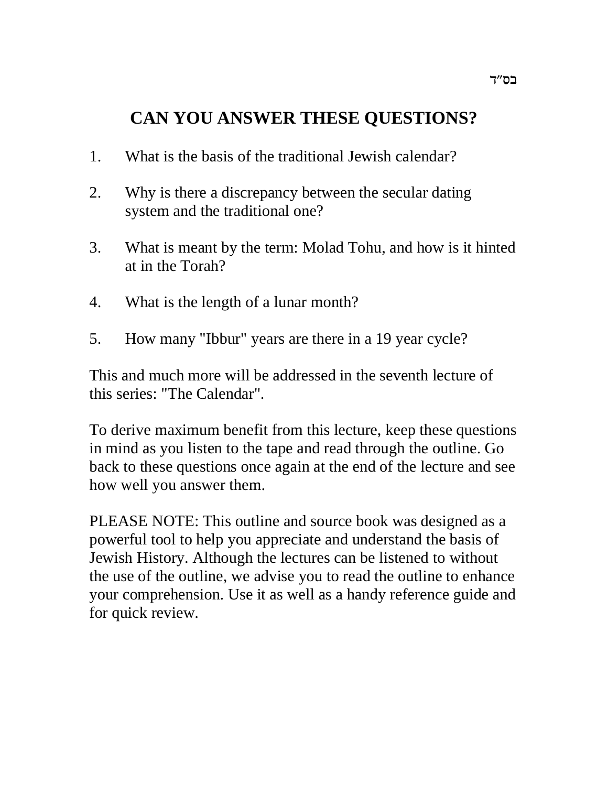## **CAN YOU ANSWER THESE QUESTIONS?**

- 1. What is the basis of the traditional Jewish calendar?
- 2. Why is there a discrepancy between the secular dating system and the traditional one?
- 3. What is meant by the term: Molad Tohu, and how is it hinted at in the Torah?
- 4. What is the length of a lunar month?
- 5. How many "Ibbur" years are there in a 19 year cycle?

This and much more will be addressed in the seventh lecture of this series: "The Calendar".

To derive maximum benefit from this lecture, keep these questions in mind as you listen to the tape and read through the outline. Go back to these questions once again at the end of the lecture and see how well you answer them.

PLEASE NOTE: This outline and source book was designed as a powerful tool to help you appreciate and understand the basis of Jewish History. Although the lectures can be listened to without the use of the outline, we advise you to read the outline to enhance your comprehension. Use it as well as a handy reference guide and for quick review.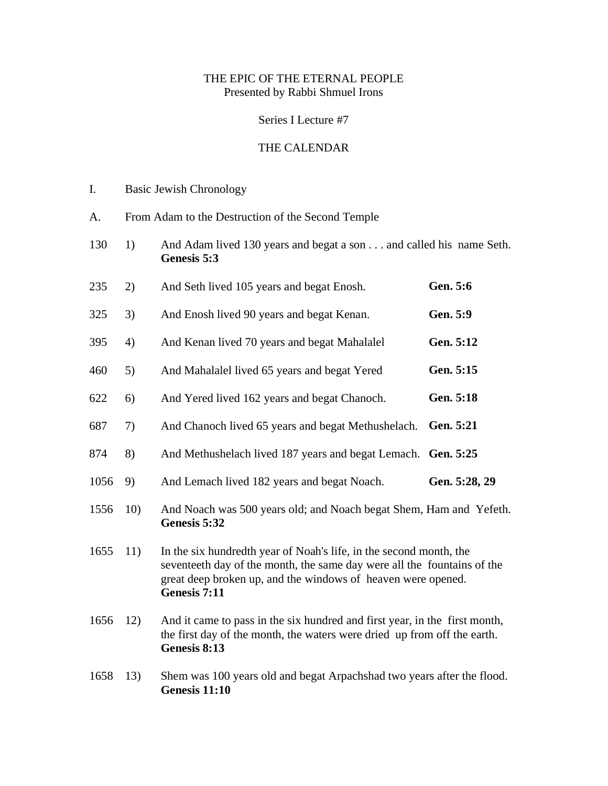## THE EPIC OF THE ETERNAL PEOPLE Presented by Rabbi Shmuel Irons

## Series I Lecture #7

## THE CALENDAR

- I. Basic Jewish Chronology
- A. From Adam to the Destruction of the Second Temple
- 130 1) And Adam lived 130 years and begat a son . . . and called his name Seth. **Genesis 5:3**
- 235 2) And Seth lived 105 years and begat Enosh. **Gen. 5:6**
- 325 3) And Enosh lived 90 years and begat Kenan. **Gen. 5:9**
- 395 4) And Kenan lived 70 years and begat Mahalalel **Gen. 5:12**
- 460 5) And Mahalalel lived 65 years and begat Yered **Gen. 5:15**
- 622 6) And Yered lived 162 years and begat Chanoch. **Gen. 5:18**
- 687 7) And Chanoch lived 65 years and begat Methushelach. **Gen. 5:21**
- 874 8) And Methushelach lived 187 years and begat Lemach. **Gen. 5:25**
- 1056 9) And Lemach lived 182 years and begat Noach. **Gen. 5:28, 29**
- 1556 10) And Noach was 500 years old; and Noach begat Shem, Ham and Yefeth. **Genesis 5:32**
- 1655 11) In the six hundredth year of Noah's life, in the second month, the seventeeth day of the month, the same day were all the fountains of the great deep broken up, and the windows of heaven were opened. **Genesis 7:11**
- 1656 12) And it came to pass in the six hundred and first year, in the first month, the first day of the month, the waters were dried up from off the earth. **Genesis 8:13**
- 1658 13) Shem was 100 years old and begat Arpachshad two years after the flood. **Genesis 11:10**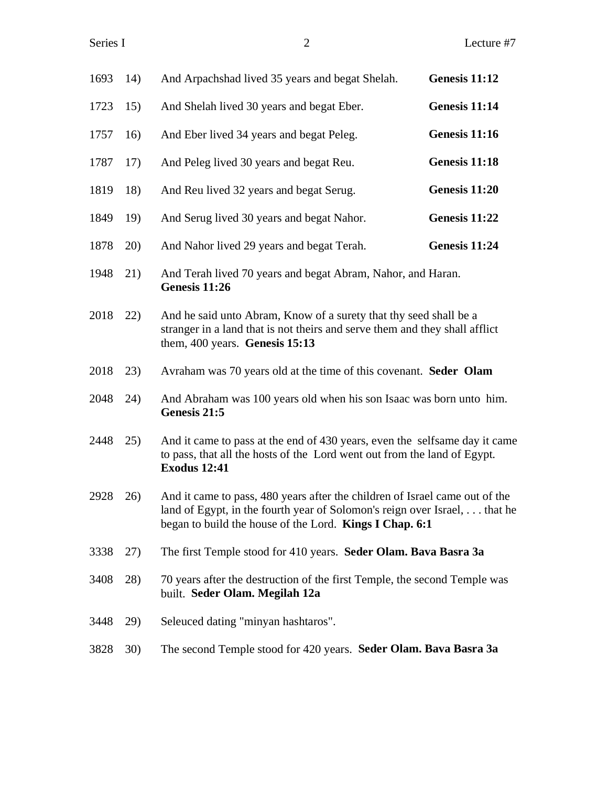| 1693 | 14) | And Arpachshad lived 35 years and begat Shelah.                                                                                                                                                                     | Genesis 11:12 |
|------|-----|---------------------------------------------------------------------------------------------------------------------------------------------------------------------------------------------------------------------|---------------|
| 1723 | 15) | And Shelah lived 30 years and begat Eber.                                                                                                                                                                           | Genesis 11:14 |
| 1757 | 16) | And Eber lived 34 years and begat Peleg.                                                                                                                                                                            | Genesis 11:16 |
| 1787 | 17) | And Peleg lived 30 years and begat Reu.                                                                                                                                                                             | Genesis 11:18 |
| 1819 | 18) | And Reu lived 32 years and begat Serug.                                                                                                                                                                             | Genesis 11:20 |
| 1849 | 19) | And Serug lived 30 years and begat Nahor.                                                                                                                                                                           | Genesis 11:22 |
| 1878 | 20) | And Nahor lived 29 years and begat Terah.                                                                                                                                                                           | Genesis 11:24 |
| 1948 | 21) | And Terah lived 70 years and begat Abram, Nahor, and Haran.<br>Genesis 11:26                                                                                                                                        |               |
| 2018 | 22) | And he said unto Abram, Know of a surety that thy seed shall be a<br>stranger in a land that is not theirs and serve them and they shall afflict<br>them, 400 years. Genesis 15:13                                  |               |
| 2018 | 23) | Avraham was 70 years old at the time of this covenant. Seder Olam                                                                                                                                                   |               |
| 2048 | 24) | And Abraham was 100 years old when his son Isaac was born unto him.<br>Genesis 21:5                                                                                                                                 |               |
| 2448 | 25) | And it came to pass at the end of 430 years, even the selfsame day it came<br>to pass, that all the hosts of the Lord went out from the land of Egypt.<br><b>Exodus 12:41</b>                                       |               |
| 2928 | 26) | And it came to pass, 480 years after the children of Israel came out of the<br>land of Egypt, in the fourth year of Solomon's reign over Israel, that he<br>began to build the house of the Lord. Kings I Chap. 6:1 |               |
| 3338 | 27) | The first Temple stood for 410 years. Seder Olam. Bava Basra 3a                                                                                                                                                     |               |
| 3408 | 28) | 70 years after the destruction of the first Temple, the second Temple was<br>built. Seder Olam. Megilah 12a                                                                                                         |               |
| 3448 | 29) | Seleuced dating "minyan hashtaros".                                                                                                                                                                                 |               |
| 3828 | 30) | The second Temple stood for 420 years. Seder Olam. Bava Basra 3a                                                                                                                                                    |               |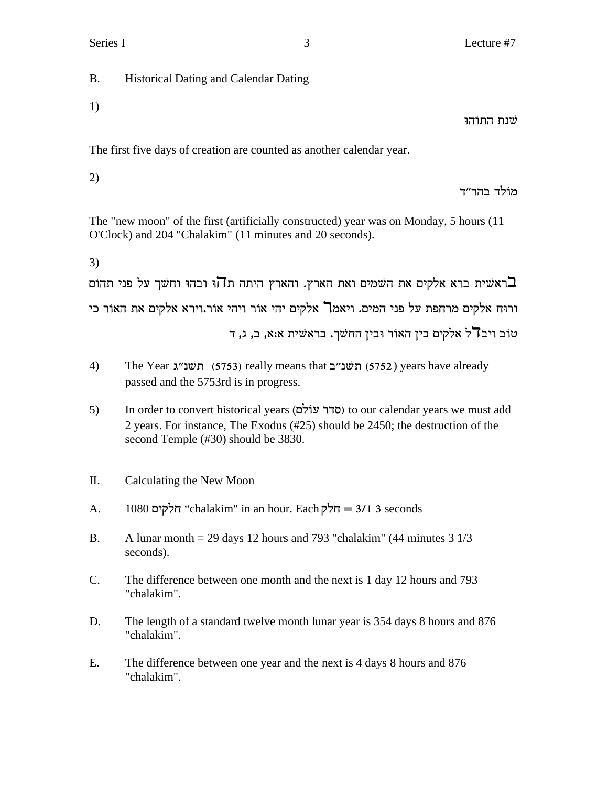B. Historical Dating and Calendar Dating

1)

שנת התוֹהוּ

The first five days of creation are counted as another calendar year.

2)

מוֹלִד בהר״ד

The "new moon" of the first (artificially constructed) year was on Monday, 5 hours (11 O'Clock) and 204 "Chalakim" (11 minutes and 20 seconds).

3)

האשית ברא אלקים את השמים ואת הארץ. והארץ היתה ת $\overline{\mathbf{u}}$ ו ובהו וחשך על פני תהום ורוּח אלקים מרחפת על פני המים. ויאמ**ר** אלקים יהי אוֹר ויהי אוֹר.וירא אלקים את האוֹר כי טוב ויב $\mathsf{T}^\star$ ל אלקים בין האור ובין החשך. בראשית א:א, ב, ג, ד

- 4) The Year  $x''$ ת (5753) really means that  $5752$  (5752) years have already passed and the 5753rd is in progress.
- 5) In order to convert historical years (**סדר עוֹלָם)** to our calendar years we must add 2 years. For instance, The Exodus (#25) should be 2450; the destruction of the second Temple (#30) should be 3830.
- II. Calculating the New Moon
- A. 1080  $\tau$ לקים "chalakim" in an hour. Each  $\tau$ לקים = 3/1 3 seconds
- B. A lunar month = 29 days 12 hours and 793 "chalakim" (44 minutes  $3 \frac{1}{3}$ seconds).
- C. The difference between one month and the next is 1 day 12 hours and 793 "chalakim".
- D. The length of a standard twelve month lunar year is 354 days 8 hours and 876 "chalakim".
- E. The difference between one year and the next is 4 days 8 hours and 876 "chalakim".